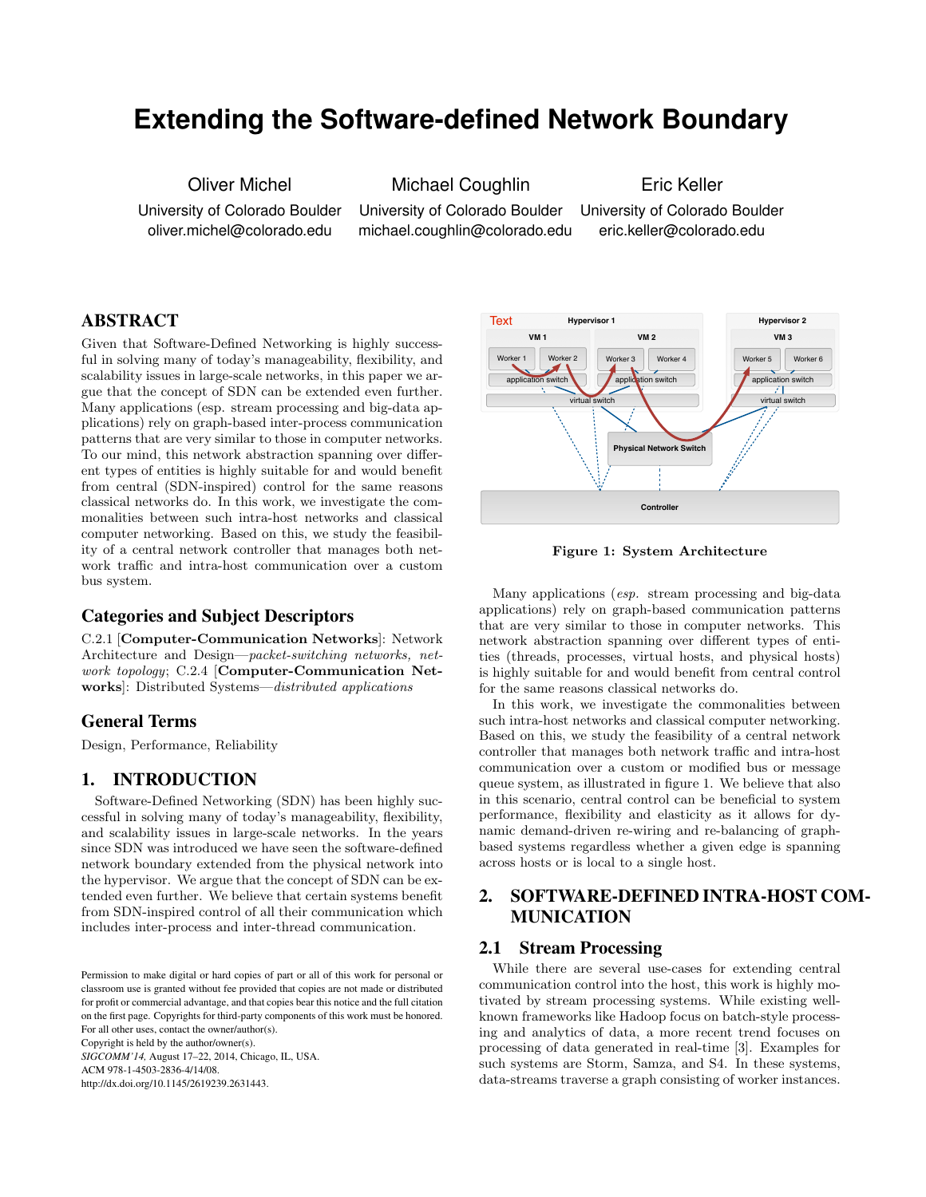# **Extending the Software-defined Network Boundary**

Oliver Michel

University of Colorado Boulder oliver.michel@colorado.edu

Michael Coughlin University of Colorado Boulder

michael.coughlin@colorado.edu

Eric Keller University of Colorado Boulder eric.keller@colorado.edu

## ABSTRACT

Given that Software-Defined Networking is highly successful in solving many of today's manageability, flexibility, and scalability issues in large-scale networks, in this paper we argue that the concept of SDN can be extended even further. Many applications (esp. stream processing and big-data applications) rely on graph-based inter-process communication patterns that are very similar to those in computer networks. To our mind, this network abstraction spanning over different types of entities is highly suitable for and would benefit from central (SDN-inspired) control for the same reasons classical networks do. In this work, we investigate the commonalities between such intra-host networks and classical computer networking. Based on this, we study the feasibility of a central network controller that manages both network traffic and intra-host communication over a custom bus system.

#### Categories and Subject Descriptors

C.2.1 [Computer-Communication Networks]: Network Architecture and Design—*packet-switching networks, network topology*; C.2.4 [Computer-Communication Networks]: Distributed Systems—*distributed applications*

#### General Terms

Design, Performance, Reliability

#### 1. INTRODUCTION

Software-Defined Networking (SDN) has been highly successful in solving many of today's manageability, flexibility, and scalability issues in large-scale networks. In the years since SDN was introduced we have seen the software-defined network boundary extended from the physical network into the hypervisor. We argue that the concept of SDN can be extended even further. We believe that certain systems benefit from SDN-inspired control of all their communication which includes inter-process and inter-thread communication.

*SIGCOMM'14,* August 17–22, 2014, Chicago, IL, USA.

ACM 978-1-4503-2836-4/14/08.

http://dx.doi.org/10.1145/2619239.2631443.



<span id="page-0-0"></span>Figure 1: System Architecture

Many applications (*esp.* stream processing and big-data applications) rely on graph-based communication patterns that are very similar to those in computer networks. This network abstraction spanning over different types of entities (threads, processes, virtual hosts, and physical hosts) is highly suitable for and would benefit from central control for the same reasons classical networks do.

In this work, we investigate the commonalities between such intra-host networks and classical computer networking. Based on this, we study the feasibility of a central network controller that manages both network traffic and intra-host communication over a custom or modified bus or message queue system, as illustrated in figure [1.](#page-0-0) We believe that also in this scenario, central control can be beneficial to system performance, flexibility and elasticity as it allows for dynamic demand-driven re-wiring and re-balancing of graphbased systems regardless whether a given edge is spanning across hosts or is local to a single host.

## 2. SOFTWARE-DEFINED INTRA-HOST COM-MUNICATION

#### 2.1 Stream Processing

While there are several use-cases for extending central communication control into the host, this work is highly motivated by stream processing systems. While existing wellknown frameworks like Hadoop focus on batch-style processing and analytics of data, a more recent trend focuses on processing of data generated in real-time [\[3\]](#page-1-0). Examples for such systems are Storm, Samza, and S4. In these systems, data-streams traverse a graph consisting of worker instances.

Permission to make digital or hard copies of part or all of this work for personal or classroom use is granted without fee provided that copies are not made or distributed for profit or commercial advantage, and that copies bear this notice and the full citation on the first page. Copyrights for third-party components of this work must be honored. For all other uses, contact the owner/author(s). Copyright is held by the author/owner(s).